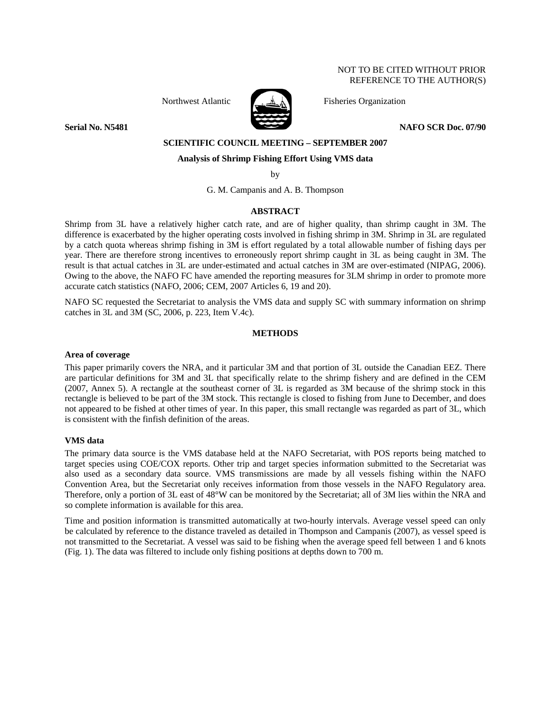## NOT TO BE CITED WITHOUT PRIOR REFERENCE TO THE AUTHOR(S)



Northwest Atlantic Fisheries Organization

**Serial No. N5481 NAFO SCR Doc. 07/90 NAFO SCR Doc. 07/90** 

#### **SCIENTIFIC COUNCIL MEETING – SEPTEMBER 2007**

#### **Analysis of Shrimp Fishing Effort Using VMS data**

by

G. M. Campanis and A. B. Thompson

#### **ABSTRACT**

Shrimp from 3L have a relatively higher catch rate, and are of higher quality, than shrimp caught in 3M. The difference is exacerbated by the higher operating costs involved in fishing shrimp in 3M. Shrimp in 3L are regulated by a catch quota whereas shrimp fishing in 3M is effort regulated by a total allowable number of fishing days per year. There are therefore strong incentives to erroneously report shrimp caught in 3L as being caught in 3M. The result is that actual catches in 3L are under-estimated and actual catches in 3M are over-estimated (NIPAG, 2006). Owing to the above, the NAFO FC have amended the reporting measures for 3LM shrimp in order to promote more accurate catch statistics (NAFO, 2006; CEM, 2007 Articles 6, 19 and 20).

NAFO SC requested the Secretariat to analysis the VMS data and supply SC with summary information on shrimp catches in 3L and 3M (SC, 2006, p. 223, Item V.4c).

### **METHODS**

#### **Area of coverage**

This paper primarily covers the NRA, and it particular 3M and that portion of 3L outside the Canadian EEZ. There are particular definitions for 3M and 3L that specifically relate to the shrimp fishery and are defined in the CEM (2007, Annex 5). A rectangle at the southeast corner of 3L is regarded as 3M because of the shrimp stock in this rectangle is believed to be part of the 3M stock. This rectangle is closed to fishing from June to December, and does not appeared to be fished at other times of year. In this paper, this small rectangle was regarded as part of 3L, which is consistent with the finfish definition of the areas.

#### **VMS data**

The primary data source is the VMS database held at the NAFO Secretariat, with POS reports being matched to target species using COE/COX reports. Other trip and target species information submitted to the Secretariat was also used as a secondary data source. VMS transmissions are made by all vessels fishing within the NAFO Convention Area, but the Secretariat only receives information from those vessels in the NAFO Regulatory area. Therefore, only a portion of 3L east of 48°W can be monitored by the Secretariat; all of 3M lies within the NRA and so complete information is available for this area.

Time and position information is transmitted automatically at two-hourly intervals. Average vessel speed can only be calculated by reference to the distance traveled as detailed in Thompson and Campanis (2007), as vessel speed is not transmitted to the Secretariat. A vessel was said to be fishing when the average speed fell between 1 and 6 knots (Fig. 1). The data was filtered to include only fishing positions at depths down to 700 m.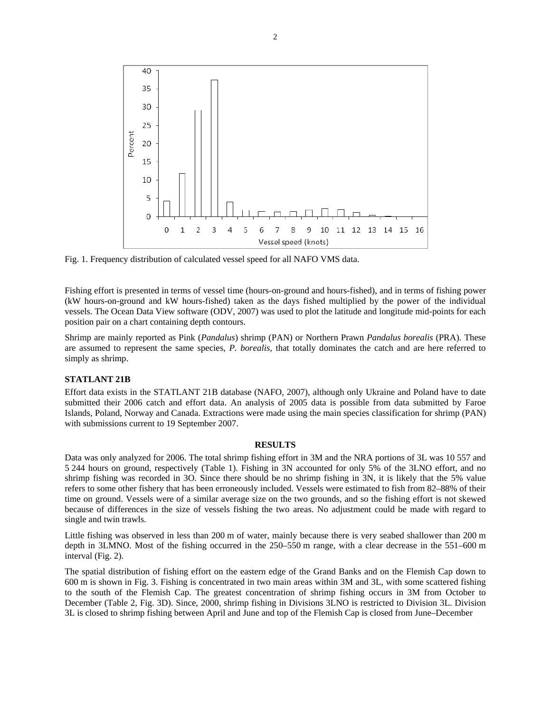

Fig. 1. Frequency distribution of calculated vessel speed for all NAFO VMS data.

Fishing effort is presented in terms of vessel time (hours-on-ground and hours-fished), and in terms of fishing power (kW hours-on-ground and kW hours-fished) taken as the days fished multiplied by the power of the individual vessels. The Ocean Data View software (ODV, 2007) was used to plot the latitude and longitude mid-points for each position pair on a chart containing depth contours.

Shrimp are mainly reported as Pink (*Pandalus*) shrimp (PAN) or Northern Prawn *Pandalus borealis* (PRA). These are assumed to represent the same species, *P. borealis*, that totally dominates the catch and are here referred to simply as shrimp.

#### **STATLANT 21B**

Effort data exists in the STATLANT 21B database (NAFO, 2007), although only Ukraine and Poland have to date submitted their 2006 catch and effort data. An analysis of 2005 data is possible from data submitted by Faroe Islands, Poland, Norway and Canada. Extractions were made using the main species classification for shrimp (PAN) with submissions current to 19 September 2007.

#### **RESULTS**

Data was only analyzed for 2006. The total shrimp fishing effort in 3M and the NRA portions of 3L was 10 557 and 5 244 hours on ground, respectively (Table 1). Fishing in 3N accounted for only 5% of the 3LNO effort, and no shrimp fishing was recorded in 3O. Since there should be no shrimp fishing in 3N, it is likely that the 5% value refers to some other fishery that has been erroneously included. Vessels were estimated to fish from 82–88% of their time on ground. Vessels were of a similar average size on the two grounds, and so the fishing effort is not skewed because of differences in the size of vessels fishing the two areas. No adjustment could be made with regard to single and twin trawls.

Little fishing was observed in less than 200 m of water, mainly because there is very seabed shallower than 200 m depth in 3LMNO. Most of the fishing occurred in the 250–550 m range, with a clear decrease in the 551–600 m interval (Fig. 2).

The spatial distribution of fishing effort on the eastern edge of the Grand Banks and on the Flemish Cap down to 600 m is shown in Fig. 3. Fishing is concentrated in two main areas within 3M and 3L, with some scattered fishing to the south of the Flemish Cap. The greatest concentration of shrimp fishing occurs in 3M from October to December (Table 2, Fig. 3D). Since, 2000, shrimp fishing in Divisions 3LNO is restricted to Division 3L. Division 3L is closed to shrimp fishing between April and June and top of the Flemish Cap is closed from June–December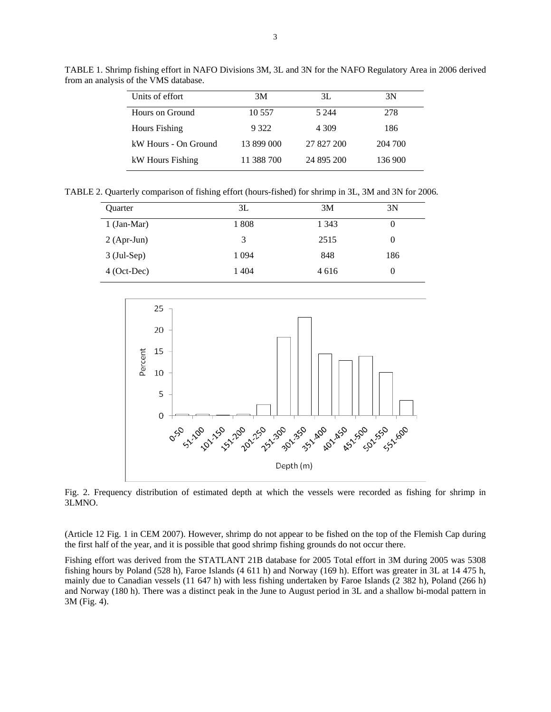| Units of effort      | 3M         | 3L         | 3N      |
|----------------------|------------|------------|---------|
| Hours on Ground      | 10 557     | 5 2 4 4    | 278     |
| <b>Hours Fishing</b> | 9 3 2 2    | 4 3 0 9    | 186     |
| kW Hours - On Ground | 13 899 000 | 27 827 200 | 204 700 |
| kW Hours Fishing     | 11 388 700 | 24 895 200 | 136 900 |

TABLE 1. Shrimp fishing effort in NAFO Divisions 3M, 3L and 3N for the NAFO Regulatory Area in 2006 derived from an analysis of the VMS database.

TABLE 2. Quarterly comparison of fishing effort (hours-fished) for shrimp in 3L, 3M and 3N for 2006.

| Quarter       | 3L      | 3M      | 3N       |
|---------------|---------|---------|----------|
| $1$ (Jan-Mar) | 1808    | 1 3 4 3 | O        |
| $2$ (Apr-Jun) | 3       | 2515    | $\theta$ |
| $3$ (Jul-Sep) | 1 0 9 4 | 848     | 186      |
| $4$ (Oct-Dec) | 1404    | 4 6 1 6 | 0        |



Fig. 2. Frequency distribution of estimated depth at which the vessels were recorded as fishing for shrimp in 3LMNO.

(Article 12 Fig. 1 in CEM 2007). However, shrimp do not appear to be fished on the top of the Flemish Cap during the first half of the year, and it is possible that good shrimp fishing grounds do not occur there.

Fishing effort was derived from the STATLANT 21B database for 2005 Total effort in 3M during 2005 was 5308 fishing hours by Poland (528 h), Faroe Islands (4 611 h) and Norway (169 h). Effort was greater in 3L at 14 475 h, mainly due to Canadian vessels (11 647 h) with less fishing undertaken by Faroe Islands (2 382 h), Poland (266 h) and Norway (180 h). There was a distinct peak in the June to August period in 3L and a shallow bi-modal pattern in 3M (Fig. 4).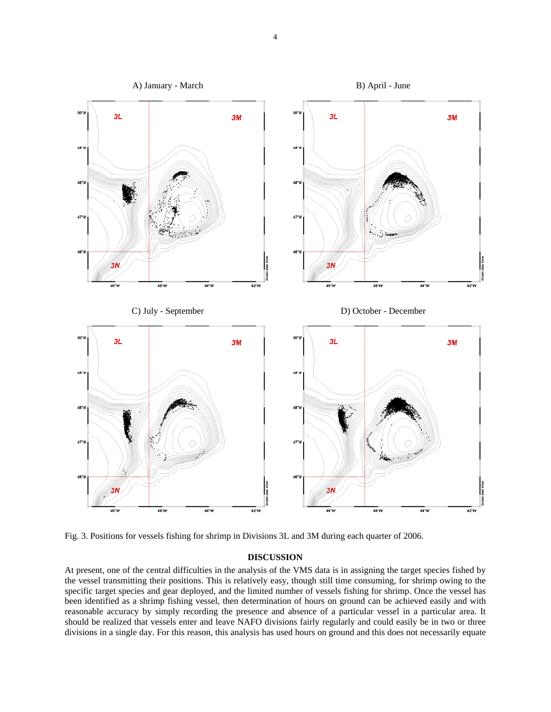

Fig. 3. Positions for vessels fishing for shrimp in Divisions 3L and 3M during each quarter of 2006.

## **DISCUSSION**

At present, one of the central difficulties in the analysis of the VMS data is in assigning the target species fished by the vessel transmitting their positions. This is relatively easy, though still time consuming, for shrimp owing to the specific target species and gear deployed, and the limited number of vessels fishing for shrimp. Once the vessel has been identified as a shrimp fishing vessel, then determination of hours on ground can be achieved easily and with reasonable accuracy by simply recording the presence and absence of a particular vessel in a particular area. It should be realized that vessels enter and leave NAFO divisions fairly regularly and could easily be in two or three divisions in a single day. For this reason, this analysis has used hours on ground and this does not necessarily equate

4